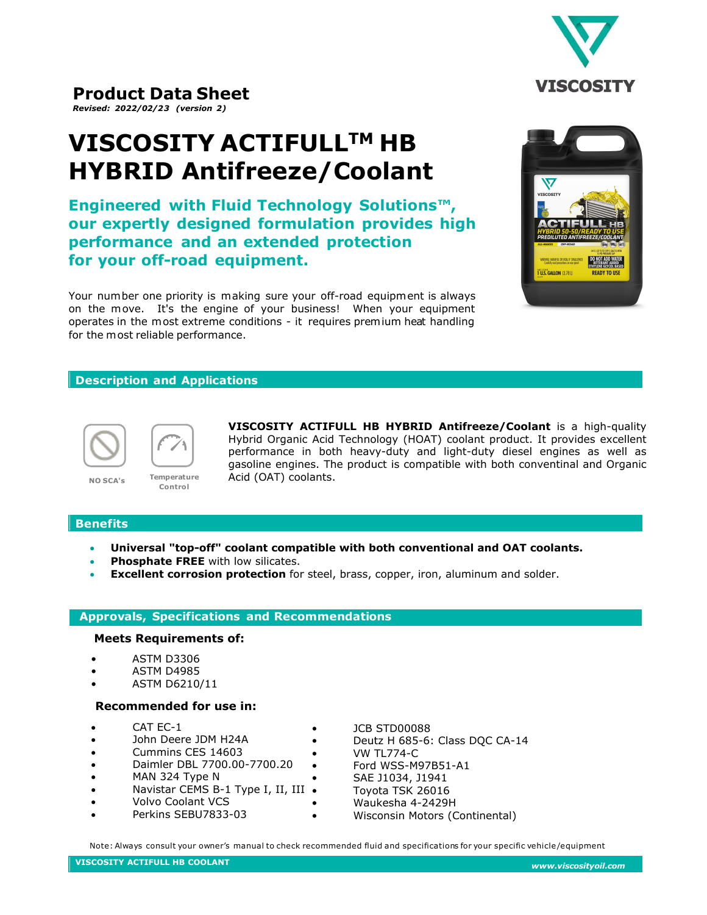

# **Product Data Sheet**

*Revised: 2022/02/23 (version 2)*

# **VISCOSITY ACTIFULLTM HB HYBRID Antifreeze/Coolant**

**Engineered with Fluid Technology Solutions™, our expertly designed formulation provides high performance and an extended protection for your off-road equipment.** 

Your number one priority is making sure your off-road equipment is always on the move. It's the engine of your business! When your equipment operates in the most extreme conditions - it requires premium heat handling for the most reliable performance.



# **Description and Applications**

**Control**



**VISCOSITY ACTIFULL HB HYBRID Antifreeze/Coolant** is a high-quality Hybrid Organic Acid Technology (HOAT) coolant product. It provides excellent performance in both heavy-duty and light-duty diesel engines as well as gasoline engines. The product is compatible with both conventinal and Organic Acid (OAT) coolants.

### **Benefits**

- **Universal "top-off" coolant compatible with both conventional and OAT coolants.**
- **Phosphate FREE** with low silicates.
- **Excellent corrosion protection** for steel, brass, copper, iron, aluminum and solder.

## **Approvals, Specifications and Recommendations**

#### **Meets Requirements of:**

- ASTM D3306
- ASTM D4985
- ASTM D6210/11

#### **Recommended for use in:**

- CAT EC-1
- John Deere JDM H24A
- Cummins CES 14603
- Daimler DBL 7700.00-7700.20
- MAN 324 Type N
- Navistar CEMS B-1 Type I, II, III
- Volvo Coolant VCS
- Perkins SEBU7833-03
- JCB STD00088
- Deutz H 685-6: Class DQC CA-14
- VW TL774-C
- Ford WSS-M97B51-A1
- SAE J1034, J1941
- Toyota TSK 26016
- Waukesha 4-2429H
- Wisconsin Motors (Continental)

Note: Always consult your owner's manual to check recommended fluid and specifications for your specific vehicle /equipment